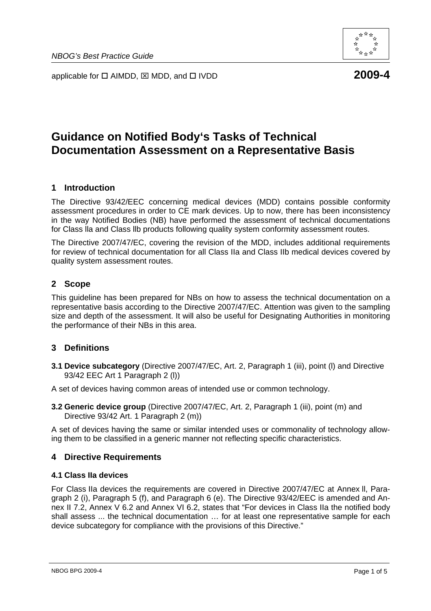applicable for □ AIMDD, ⊠ MDD, and □ IVDD **2009-4** 

# **Guidance on Notified Body's Tasks of Technical Documentation Assessment on a Representative Basis**

# **1 Introduction**

The Directive 93/42/EEC concerning medical devices (MDD) contains possible conformity assessment procedures in order to CE mark devices. Up to now, there has been inconsistency in the way Notified Bodies (NB) have performed the assessment of technical documentations for Class lla and Class llb products following quality system conformity assessment routes.

The Directive 2007/47/EC, covering the revision of the MDD, includes additional requirements for review of technical documentation for all Class IIa and Class IIb medical devices covered by quality system assessment routes.

# **2 Scope**

This guideline has been prepared for NBs on how to assess the technical documentation on a representative basis according to the Directive 2007/47/EC. Attention was given to the sampling size and depth of the assessment. It will also be useful for Designating Authorities in monitoring the performance of their NBs in this area.

# **3 Definitions**

**3.1 Device subcategory** (Directive 2007/47/EC, Art. 2, Paragraph 1 (iii), point (l) and Directive 93/42 EEC Art 1 Paragraph 2 (l))

A set of devices having common areas of intended use or common technology.

**3.2 Generic device group** (Directive 2007/47/EC, Art. 2, Paragraph 1 (iii), point (m) and Directive 93/42 Art. 1 Paragraph 2 (m))

A set of devices having the same or similar intended uses or commonality of technology allowing them to be classified in a generic manner not reflecting specific characteristics.

# **4 Directive Requirements**

#### **4.1 Class IIa devices**

For Class IIa devices the requirements are covered in Directive 2007/47/EC at Annex ll, Paragraph 2 (i), Paragraph 5 (f), and Paragraph 6 (e). The Directive 93/42/EEC is amended and Annex II 7.2, Annex V 6.2 and Annex VI 6.2, states that "For devices in Class IIa the notified body shall assess ... the technical documentation … for at least one representative sample for each device subcategory for compliance with the provisions of this Directive."

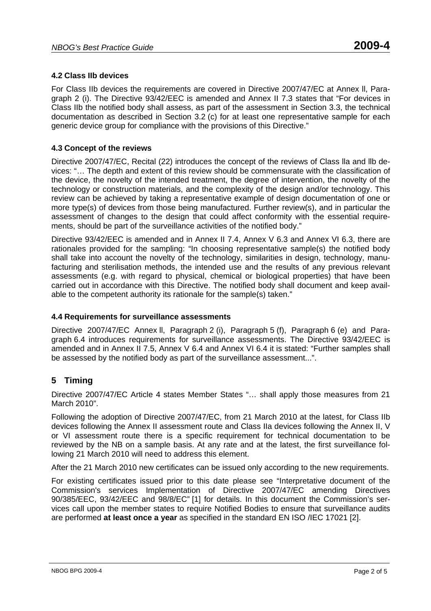# **4.2 Class IIb devices**

For Class IIb devices the requirements are covered in Directive 2007/47/EC at Annex ll, Paragraph 2 (i). The Directive 93/42/EEC is amended and Annex II 7.3 states that "For devices in Class IIb the notified body shall assess, as part of the assessment in Section 3.3, the technical documentation as described in Section 3.2 (c) for at least one representative sample for each generic device group for compliance with the provisions of this Directive."

#### **4.3 Concept of the reviews**

Directive 2007/47/EC, Recital (22) introduces the concept of the reviews of Class lla and llb devices: "… The depth and extent of this review should be commensurate with the classification of the device, the novelty of the intended treatment, the degree of intervention, the novelty of the technology or construction materials, and the complexity of the design and/or technology. This review can be achieved by taking a representative example of design documentation of one or more type(s) of devices from those being manufactured. Further review(s), and in particular the assessment of changes to the design that could affect conformity with the essential requirements, should be part of the surveillance activities of the notified body."

Directive 93/42/EEC is amended and in Annex II 7.4, Annex V 6.3 and Annex VI 6.3, there are rationales provided for the sampling: "In choosing representative sample(s) the notified body shall take into account the novelty of the technology, similarities in design, technology, manufacturing and sterilisation methods, the intended use and the results of any previous relevant assessments (e.g. with regard to physical, chemical or biological properties) that have been carried out in accordance with this Directive. The notified body shall document and keep available to the competent authority its rationale for the sample(s) taken."

#### **4.4 Requirements for surveillance assessments**

Directive 2007/47/EC Annex ll, Paragraph 2 (i), Paragraph 5 (f), Paragraph 6 (e) and Paragraph 6.4 introduces requirements for surveillance assessments. The Directive 93/42/EEC is amended and in Annex II 7.5, Annex V 6.4 and Annex VI 6.4 it is stated: "Further samples shall be assessed by the notified body as part of the surveillance assessment...".

# **5 Timing**

Directive 2007/47/EC Article 4 states Member States "… shall apply those measures from 21 March 2010".

Following the adoption of Directive 2007/47/EC, from 21 March 2010 at the latest, for Class IIb devices following the Annex II assessment route and Class IIa devices following the Annex II, V or VI assessment route there is a specific requirement for technical documentation to be reviewed by the NB on a sample basis. At any rate and at the latest, the first surveillance following 21 March 2010 will need to address this element.

After the 21 March 2010 new certificates can be issued only according to the new requirements.

For existing certificates issued prior to this date please see "Interpretative document of the Commission's services Implementation of Directive 2007/47/EC amending Directives 90/385/EEC, 93/42/EEC and 98/8/EC" [1] for details. In this document the Commission's services call upon the member states to require Notified Bodies to ensure that surveillance audits are performed **at least once a year** as specified in the standard EN ISO /IEC 17021 [2].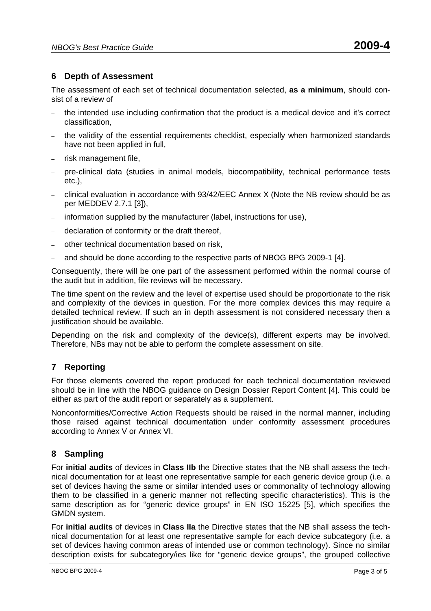# **6 Depth of Assessment**

The assessment of each set of technical documentation selected, **as a minimum**, should consist of a review of

- the intended use including confirmation that the product is a medical device and it's correct classification,
- the validity of the essential requirements checklist, especially when harmonized standards have not been applied in full,
- risk management file,
- pre-clinical data (studies in animal models, biocompatibility, technical performance tests etc.),
- clinical evaluation in accordance with 93/42/EEC Annex X (Note the NB review should be as per MEDDEV 2.7.1 [3]),
- information supplied by the manufacturer (label, instructions for use),
- declaration of conformity or the draft thereof,
- other technical documentation based on risk,
- and should be done according to the respective parts of NBOG BPG 2009-1 [4].

Consequently, there will be one part of the assessment performed within the normal course of the audit but in addition, file reviews will be necessary.

The time spent on the review and the level of expertise used should be proportionate to the risk and complexity of the devices in question. For the more complex devices this may require a detailed technical review. If such an in depth assessment is not considered necessary then a justification should be available.

Depending on the risk and complexity of the device(s), different experts may be involved. Therefore, NBs may not be able to perform the complete assessment on site.

# **7 Reporting**

For those elements covered the report produced for each technical documentation reviewed should be in line with the NBOG guidance on Design Dossier Report Content [4]. This could be either as part of the audit report or separately as a supplement.

Nonconformities/Corrective Action Requests should be raised in the normal manner, including those raised against technical documentation under conformity assessment procedures according to Annex V or Annex VI.

# **8 Sampling**

For **initial audits** of devices in **Class IIb** the Directive states that the NB shall assess the technical documentation for at least one representative sample for each generic device group (i.e. a set of devices having the same or similar intended uses or commonality of technology allowing them to be classified in a generic manner not reflecting specific characteristics). This is the same description as for "generic device groups" in EN ISO 15225 [5], which specifies the GMDN system.

For **initial audits** of devices in **Class IIa** the Directive states that the NB shall assess the technical documentation for at least one representative sample for each device subcategory (i.e. a set of devices having common areas of intended use or common technology). Since no similar description exists for subcategory/ies like for "generic device groups", the grouped collective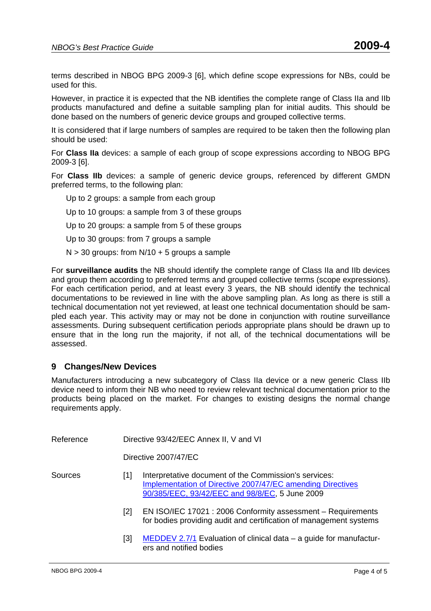terms described in NBOG BPG 2009-3 [6], which define scope expressions for NBs, could be used for this.

However, in practice it is expected that the NB identifies the complete range of Class IIa and IIb products manufactured and define a suitable sampling plan for initial audits. This should be done based on the numbers of generic device groups and grouped collective terms.

It is considered that if large numbers of samples are required to be taken then the following plan should be used:

For **Class IIa** devices: a sample of each group of scope expressions according to NBOG BPG 2009-3 [6].

For **Class IIb** devices: a sample of generic device groups, referenced by different GMDN preferred terms, to the following plan:

- Up to 2 groups: a sample from each group
- Up to 10 groups: a sample from 3 of these groups

Up to 20 groups: a sample from 5 of these groups

Up to 30 groups: from 7 groups a sample

 $N > 30$  groups: from  $N/10 + 5$  groups a sample

For **surveillance audits** the NB should identify the complete range of Class IIa and IIb devices and group them according to preferred terms and grouped collective terms (scope expressions). For each certification period, and at least every 3 years, the NB should identify the technical documentations to be reviewed in line with the above sampling plan. As long as there is still a technical documentation not yet reviewed, at least one technical documentation should be sampled each year. This activity may or may not be done in conjunction with routine surveillance assessments. During subsequent certification periods appropriate plans should be drawn up to ensure that in the long run the majority, if not all, of the technical documentations will be assessed.

#### **9 Changes/New Devices**

Manufacturers introducing a new subcategory of Class IIa device or a new generic Class IIb device need to inform their NB who need to review relevant technical documentation prior to the products being placed on the market. For changes to existing designs the normal change requirements apply.

| Reference | Directive 93/42/EEC Annex II, V and VI |                                                                                                                                                                              |
|-----------|----------------------------------------|------------------------------------------------------------------------------------------------------------------------------------------------------------------------------|
|           |                                        | Directive 2007/47/EC                                                                                                                                                         |
| Sources   | 11 I                                   | Interpretative document of the Commission's services:<br><b>Implementation of Directive 2007/47/EC amending Directives</b><br>90/385/EEC, 93/42/EEC and 98/8/EC, 5 June 2009 |
|           | [2]                                    | EN ISO/IEC 17021 : 2006 Conformity assessment – Requirements<br>for bodies providing audit and certification of management systems                                           |
|           | [3]                                    | MEDDEV 2.7/1 Evaluation of clinical data – a guide for manufactur-<br>ers and notified bodies                                                                                |